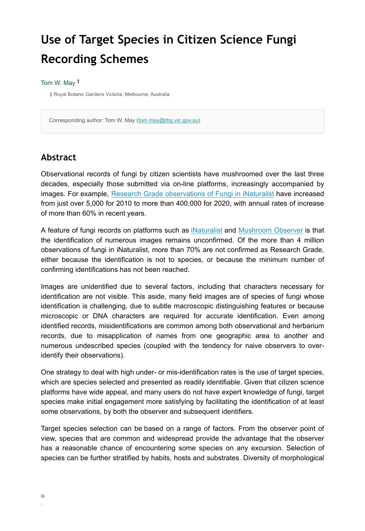# **Use of Target Species in Citizen Science Fungi Recording Schemes**

#### Tom W. May ‡

‡ Royal Botanic Gardens Victoria, Melbourne, Australia

Corresponding author: Tom W. May [\(tom.may@rbg.vic.gov.au](mailto:tom.may@rbg.vic.gov.au))

#### **Abstract**

Observational records of fungi by citizen scientists have mushroomed over the last three decades, especially those submitted via on-line platforms, increasingly accompanied by images. For example, [Research Grade observations of Fungi in iNaturalist](https://inaturalist.ala.org.au/observations?place_id=any&quality_grade=research&taxon_id=47170) have increased from just over 5,000 for 2010 to more than 400,000 for 2020, with annual rates of increase of more than 60% in recent years.

A feature of fungi records on platforms such as [iNaturalist](https://www.inaturalist.org/) and [Mushroom Observer](https://mushroomobserver.org/) is that the identification of numerous images remains unconfirmed. Of the more than 4 million observations of fungi in iNaturalist, more than 70% are not confirmed as Research Grade, either because the identification is not to species, or because the minimum number of confirming identifications has not been reached.

Images are unidentified due to several factors, including that characters necessary for identification are not visible. This aside, many field images are of species of fungi whose identification is challenging, due to subtle macroscopic distinguishing features or because microscopic or DNA characters are required for accurate identification. Even among identified records, misidentifications are common among both observational and herbarium records, due to misapplication of names from one geographic area to another and numerous undescribed species (coupled with the tendency for naive observers to overidentify their observations).

One strategy to deal with high under- or mis-identification rates is the use of target species, which are species selected and presented as readily identifiable. Given that citizen science platforms have wide appeal, and many users do not have expert knowledge of fungi, target species make initial engagement more satisfying by facilitating the identification of at least some observations, by both the observer and subsequent identifiers.

Target species selection can be based on a range of factors. From the observer point of view, species that are common and widespread provide the advantage that the observer has a reasonable chance of encountering some species on any excursion. Selection of species can be further stratified by habits, hosts and substrates. Diversity of morphological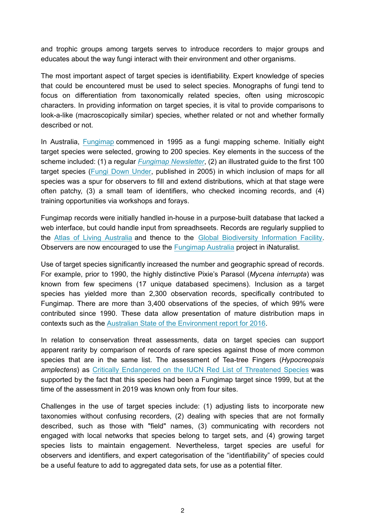and trophic groups among targets serves to introduce recorders to major groups and educates about the way fungi interact with their environment and other organisms.

The most important aspect of target species is identifiability. Expert knowledge of species that could be encountered must be used to select species. Monographs of fungi tend to focus on differentiation from taxonomically related species, often using microscopic characters. In providing information on target species, it is vital to provide comparisons to look-a-like (macroscopically similar) species, whether related or not and whether formally described or not.

In Australia, [Fungimap](https://fungimap.org.au/) commenced in 1995 as a fungi mapping scheme. Initially eight target species were selected, growing to 200 species. Key elements in the success of the scheme included: (1) a regular *[Fungimap Newsletter](https://fungimap.org.au/latest-news/)*, (2) an illustrated guide to the first 100 target species [\(Fungi Down Under,](https://shop.fungimap.org.au/product/fungi-down-under-the-fungimap-guide-to-australian-fungi-pat-grey-ed-grey/) published in 2005) in which inclusion of maps for all species was a spur for observers to fill and extend distributions, which at that stage were often patchy, (3) a small team of identifiers, who checked incoming records, and (4) training opportunities via workshops and forays.

Fungimap records were initially handled in-house in a purpose-built database that lacked a web interface, but could handle input from spreadhseets. Records are regularly supplied to the [Atlas of Living Australia](https://ala.org.au) and thence to the [Global Biodiversity Information Facility.](https://www.gbif.org/dataset/02abb9d1-7d81-42b3-ac9a-3b3d0c7a5280) Observers are now encouraged to use the [Fungimap Australia](https://inaturalist.ala.org.au/projects/fungimap-australia) project in iNaturalist.

Use of target species significantly increased the number and geographic spread of records. For example, prior to 1990, the highly distinctive Pixie's Parasol (*Mycena interrupta*) was known from few specimens (17 unique databased specimens). Inclusion as a target species has yielded more than 2,300 observation records, specifically contributed to Fungimap. There are more than 3,400 observations of the species, of which 99% were contributed since 1990. These data allow presentation of mature distribution maps in contexts such as the [Australian State of the Environment report for 2016](https://soe.environment.gov.au/theme/biodiversity/topic/2016/terrestrial-plant-and-animal-species-plant-species-and-fungi).

In relation to conservation threat assessments, data on target species can support apparent rarity by comparison of records of rare species against those of more common species that are in the same list. The assessment of Tea-tree Fingers (*Hypocreopsis amplectens*) as [Critically Endangered on the IUCN Red List of Threatened Species](https://www.iucnredlist.org/species/80188449/185681031) was supported by the fact that this species had been a Fungimap target since 1999, but at the time of the assessment in 2019 was known only from four sites.

Challenges in the use of target species include: (1) adjusting lists to incorporate new taxonomies without confusing recorders, (2) dealing with species that are not formally described, such as those with "field" names, (3) communicating with recorders not engaged with local networks that species belong to target sets, and (4) growing target species lists to maintain engagement. Nevertheless, target species are useful for observers and identifiers, and expert categorisation of the "identifiability" of species could be a useful feature to add to aggregated data sets, for use as a potential filter.